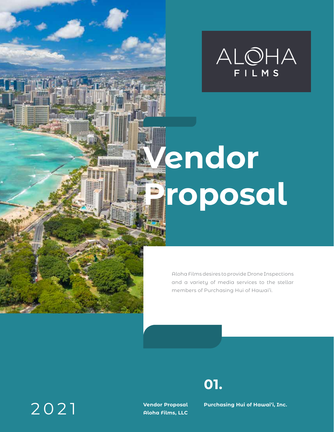

# **Vendor Proposal**

Aloha Films desires to provide Drone Inspections and a variety of media services to the stellar members of Purchasing Hui of Hawai'i.

### 2021

hen

**Vendor Proposal Aloha Films, LLC** **Purchasing Hui of Hawai'i, Inc.** 

**01.**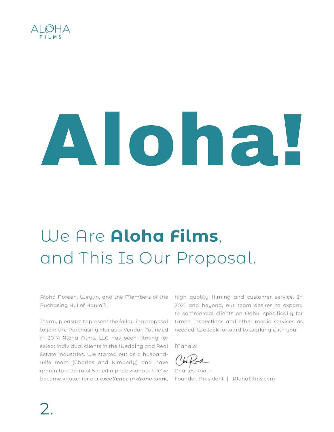

# Aloha!

### We Are **Aloha Films**, and This Is Our Proposal.

Aloha Noreen, Weylin, and the Members of the Puchasing Hui of Hawai'i,

It's my pleasure to present the following proposal to join the Purchasing Hui as a Vendor. Founded in 2017, Aloha Films, LLC has been filming for select individual clients in the Wedding and Real Estate industries. We started out as a husbandwife team (Charles and Kimberly) and have grown to a team of 5 media professionals. We've Charles Roach become known for our *excellence in drone work*,

high quality filming and customer service. In 2021 and beyond, our team desires to expand to commercial clients on Oahu, specifically for Drone Inspections and other media services as needed. We look forward to working with you!

Mahalo!

Founder, President | AlohaFilms.com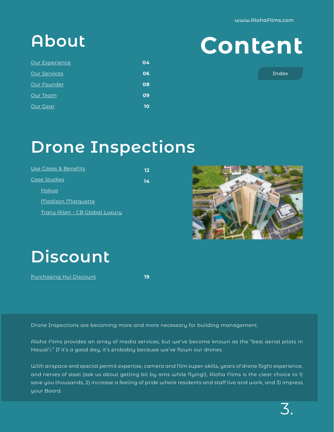| <b>Our Experience</b> | 04 |
|-----------------------|----|
| <b>Our Services</b>   | 06 |
| Our Founder           | 08 |
| Our Team              | 09 |
| Our Gear              | 10 |

### **Content About**

Index

### **Drone Inspections**

| <b>Use Cases &amp; Benefits</b> | 12 |
|---------------------------------|----|
| Case Studies                    | 14 |
| Hokua                           |    |
| <b>Madison Marquette</b>        |    |
| Tracy Allen - CB Global Luxury  |    |



### **Discount**

[Purchasing Hui Discount](#page-18-0)

**19**

Drone Inspections are becoming more and more necessary for building management.

Aloha Films provides an array of media services, but we've become known as the "best aerial pilots in Hawai'i." If it's a good day, it's probably because we've flown our drones.

With airspace and special permit expertise, camera and film super-skills, years of drone flight experience, and nerves of steel (ask us about getting bit by ants while flying!), Aloha Films is the clear choice to 1) save you thousands, 2) increase a feeling of pride where residents and staff live and work, and 3) impress your Board.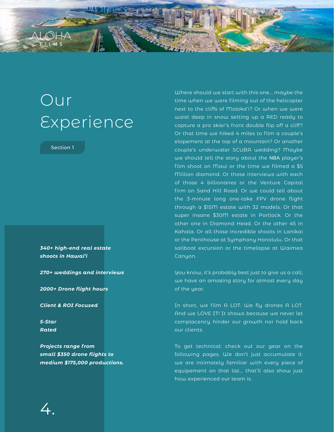<span id="page-3-0"></span>

Section 1

*340+ high-end real estate shoots in Hawai'i*

*270+ weddings and interviews*

*2000+ Drone flight hours*

*Client & ROI Focused*

*5-Star Rated*

*Projects range from small \$350 drone flights to medium \$175,000 productions.*

Where should we start with this one... maybe the time when we were filming out of the helicopter next to the cliffs of Moloka'i? Or when we were waist deep in snow setting up a RED ready to capture a pro skier's front double flip off a cliff? Or that time we hiked 4 miles to film a couple's elopement at the top of a mountain? Or another couple's underwater SCUBA wedding? Maybe we should tell the story about the NBA player's film shoot on Maui or the time we filmed a \$5 Million diamond. Or those interviews with each of those 4 billionaires or the Venture Capital firm on Sand Hill Road. Or we could tell about the 3-minute long one-take FPV drone flight through a \$15M estate with 32 models. Or that super insane \$30M estate in Portlock. Or the other one in Diamond Head. Or the other 45 in Kahala. Or all those incredible shoots in Lanikai or the Penthouse at Symphony Honolulu. Or that sailboat excursion or the timelapse at Waimea Canyon.

You know, it's probably best just to give us a call; we have an amazing story for almost every day of the year.

In short, we film A LOT. We fly drones A LOT. And we LOVE IT! It shows because we never let complacency hinder our growth nor hold back our clients.

To get technical: check out our gear on the following pages. We don't just accumulate it: we are intimately familiar with every piece of equipement on that list... that'll also show just how experienced our team is.

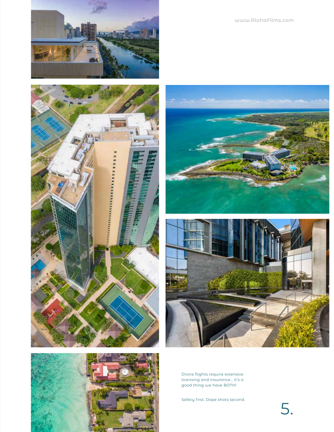











Drone flights require extensive licensing and insurance... it's a good thing we have BOTH!

Safety first. Dope shots second.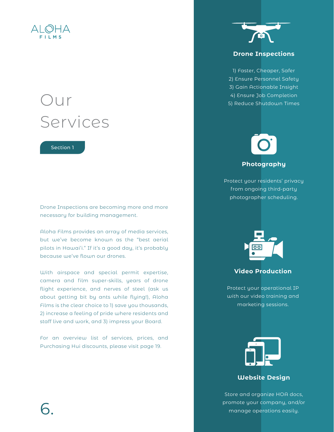<span id="page-5-0"></span>

### Our Services

Section 1

Drone Inspections are becoming more and more necessary for building management.

Aloha Films provides an array of media services, but we've become known as the "best aerial pilots in Hawai'i." If it's a good day, it's probably because we've flown our drones.

With airspace and special permit expertise, camera and film super-skills, years of drone flight experience, and nerves of steel (ask us about getting bit by ants while flying!), Aloha Films is the clear choice to 1) save you thousands, 2) increase a feeling of pride where residents and staff live and work, and 3) impress your Board.

For an overview list of services, prices, and Purchasing Hui discounts, please visit page 19.



### **Drone Inspections**

1) Faster, Cheaper, Safer 2) Ensure Personnel Safety 3) Gain Actionable Insight 4) Ensure Job Completion 5) Reduce Shutdown Times

## **Photography**

Protect your residents' privacy from ongoing third-party photographer scheduling.



### **Video Production**

Protect your operational IP with our video training and marketing sessions.



### **Website Design**

Store and organize HOA docs, promote your company, and/or promote your company, and/or manage operations easily.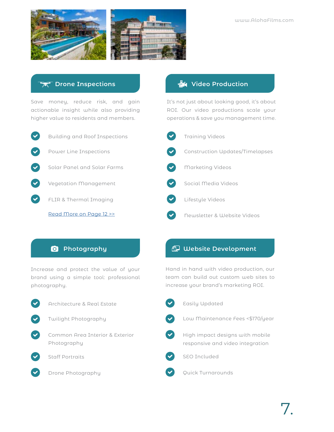

### **Drone Inspections**

Save money, reduce risk, and gain actionable insight while also providing higher value to residents and members.



### **着4 Video Production**

It's not just about looking good, it's about ROI. Our video productions scale your operations & save you management time.



### **Photography**

Increase and protect the value of your brand using a simple tool: professional photography.

| Architecture & Real Estate               |
|------------------------------------------|
| V Twilight Photography                   |
| Common Area Interior & E.<br>Photography |
|                                          |

- 
- ght Photography
- non Area Interior & Exterior ography





Drone Photography

### **Website Development**

Hand in hand with video production, our team can build out custom web sites to increase your brand's marketing ROI.

- $\blacktriangledown$ Easily Updated Low Maintenance Fees <\$170/year High impact designs with mobile responsive and video integration SEO Included Quick Turnarounds
- 7.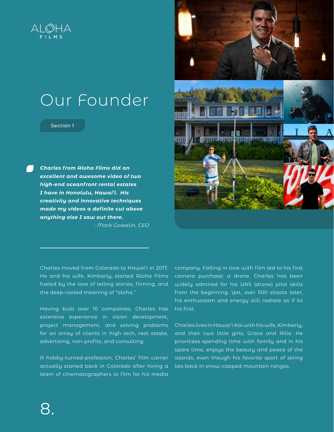<span id="page-7-0"></span>

### Our Founder

#### Section 1

*Charles from Aloha Films did an excellent and awesome video of two high-end oceanfront rental estates I have in Honolulu, Hawai'i. His creativity and innovative techniques made my videos a definite cut above anything else I saw out there.*

 *- Mark Gosselin, CEO*



Charles moved from Colorado to Hawai'i in 2017. He and his wife, Kimberly, started Aloha Films fueled by the love of telling stories, filming, and the deep-rooted meaning of "aloha."

Having built over 10 companies, Charles has extensive experience in vision development, project management, and solving problems for an array of clients in high tech, real estate, advertising, non-profits, and consulting.

A hobby-turned-profession, Charles' film carrier actually started back in Colorado after hiring a team of cinematographers to film for his media

company. Falling in love with film led to his first camera purchase: a drone. Charles has been widely admired for his UAS (drone) pilot skills from the beginning. Yet, over 500 shoots later, his enthusiasm and energy still radiate as if its his first.

Charles lives in Hawai'i Kai with his wife, Kimberly, and their two little girls, Grace and Allie. He prioritizes spending time with family and in his spare time, enjoys the beauty and peace of the islands, even though his favorite sport of skiing lies back in snow-capped mountain ranges.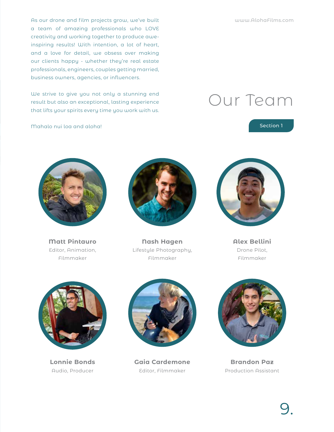<span id="page-8-0"></span>As our drone and film projects grow, we've built a team of amazing professionals who LOVE creativity and working together to produce aweinspiring results! With intention, a lot of heart, and a love for detail, we obsess over making our clients happy - whether they're real estate professionals, engineers, couples getting married, business owners, agencies, or influencers.

We strive to give you not only a stunning end result but also an exceptional, lasting experience that lifts your spirits every time you work with us.

Mahalo nui loa and aloha!

### Our Team

Section 1

**Matt Pintauro** Editor, Animation, Filmmaker



**Nash Hagen** Lifestyle Photography, Filmmaker



**Alex Bellini** Drone Pilot, Filmmaker



**Lonnie Bonds** Audio, Producer



**Gaia Cardemone** Editor, Filmmaker



**Brandon Paz** Production Assistant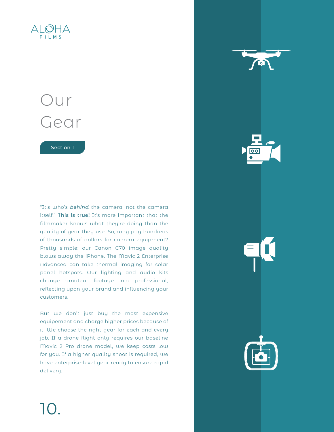<span id="page-9-0"></span>

### Our Gear

Section 1

"It's who's *behind* the camera, not the camera itself." **This is true!** It's more important that the filmmaker knows what they're doing than the quality of gear they use. So, why pay hundreds of thousands of dollars for camera equipment? Pretty simple: our Canon C70 image quality blows away the iPhone. The Mavic 2 Enterprise Advanced can take thermal imaging for solar panel hotspots. Our lighting and audio kits change amateur footage into professional, reflecting upon your brand and influencing your customers.

But we don't just buy the most expensive equipement and charge higher prices because of it. We choose the right gear for each and every job. If a drone flight only requires our baseline Mavic 2 Pro drone model, we keep costs low for you. If a higher quality shoot is required, we have enterprise-level gear ready to ensure rapid delivery.



10.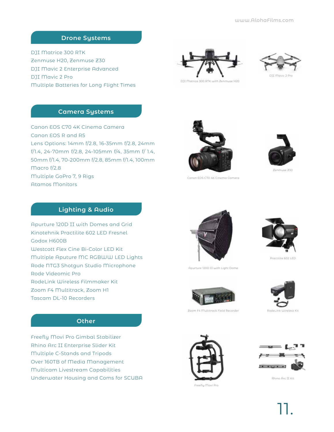### **Drone Systems**

DJI Matrice 300 RTK Zenmuse H20, Zenmuse Z30 DJI Mavic 2 Enterprise Advanced DJI Mavic 2 Pro Multiple Batteries for Long Flight Times





DJI Matrice 300 RTK with Zenmuse H20

### **Camera Systems**

Canon EOS C70 4K Cinema Camera Canon EOS R and R5 Lens Options: 14mm f/2.8, 16-35mm f/2.8, 24mm f/1.4, 24-70mm f/2.8, 24-105mm f/4, 35mm f/ 1.4, 50mm f/1.4, 70-200mm f/2.8, 85mm f/1.4, 100mm Macro f/2.8 Multiple GoPro 7, 9 Rigs Atamos Monitors



Canon EOS C70 4K Cinema Camera



Zenmuse Z30

### **Lighting & Audio**

Apurture 120D II with Domes and Grid Kinotehnik Practilite 602 LED Fresnel Godox H600B Westcott Flex Cine Bi-Color LED Kit Multiple Aputure MC RGBWW LED Lights Rode NTG3 Shotgun Studio Microphone Rode Videomic Pro RodeLink Wireless Filmmaker Kit Zoom F4 Multitrack, Zoom H1 Tascam DL-10 Recorders

**Other**

Apurture 120D II with Light Dome



Practilite 602 LED



Zoom F4 Multitrack Field Recorder NodeLink Wireless Kit





Rhino Arc II Kit

Freefly Movi Pro

11.

### Freefly Movi Pro Gimbal Stabilizer Rhino Arc II Enterprise Slider Kit Multiple C-Stands and Tripods Over 160TB of Media Management

Multicam Livestream Capabilities Underwater Housing and Coms for SCUBA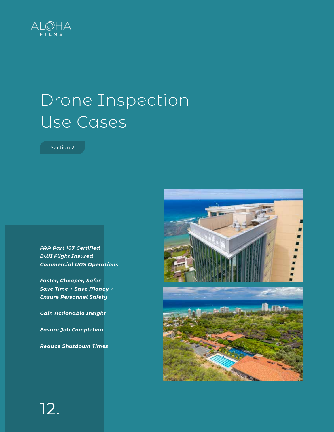<span id="page-11-0"></span>

### Drone Inspection Use Cases

Section 2

*FAA Part 107 Certified BWI Flight Insured Commercial UAS Operations*

*Faster, Cheaper, Safer Save Time + Save Money + Ensure Personnel Safety*

*Gain Actionable Insight*

*Ensure Job Completion*

*Reduce Shutdown Times*

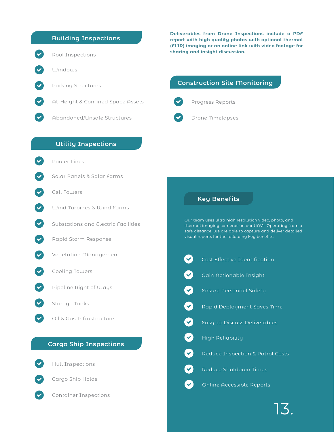### **Building Inspections**



Windows

Roof Inspections

Parking Structures

At-Height & Confined Space Assets

Abandoned/Unsafe Structures

#### **Deliverables from Drone Inspections include a PDF report with high quality photos with optional thermal (FLIR) imaging or an online link with video footage for sharing and insight discussion.**

### **Construction Site Monitoring**



Progress Reports



### **Utility Inspections**

Power Lines

- Solar Panels & Salar Farms
- Cell Towers
- Wind Turbines & Wind Farms
- Substations and Electric Facilities
- Rapid Storm Response
- Vegetation Management
	- Cooling Towers
	- Pipeline Right of Ways
	- Storage Tanks

Oil & Gas Infrastructure

### **Cargo Ship Inspections**



Hull Inspections



Cargo Ship Holds



Container Inspections

### **Key Benefits**

Our team uses ultra high resolution video, photo, and thermal imaging cameras on our UAVs. Operating from a safe distance, we are able to capture and deliver detailed visual reports for the following key benefits:

| $\left(\blacktriangledown\right)$ | Cost Effective Identification               |
|-----------------------------------|---------------------------------------------|
| $\bullet$                         | Gain Actionable Insight                     |
| $\bullet$                         | <b>Ensure Personnel Safety</b>              |
| $\bullet$                         | Rapid Deployment Saves Time                 |
| $\bullet$                         | Easy-to-Discuss Deliverables                |
| $\bullet$                         | <b>High Reliability</b>                     |
| $\bullet$                         | <b>Reduce Inspection &amp; Patrol Costs</b> |
| $\bullet$                         | Reduce Shutdown Times                       |
|                                   | <b>Online Accessible Reports</b>            |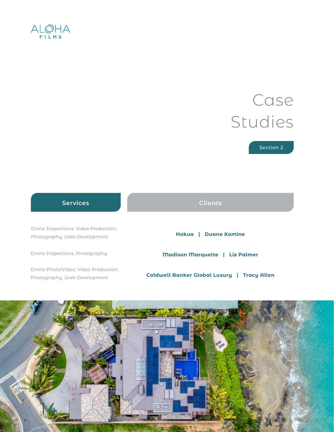### <span id="page-13-0"></span> $ALQHA$

### Case Studies

Section 2

### **Services Clients**

Drone Inspections, Video Production, Photography, Web Development **Hokua | Duane Komine**

Drone Inspections, Photography

Drone Photo/Video, Video Production, Photography, Web Development

**Madison Marquette | Liz Palmer**

**Coldwell Banker Global Luxury | Tracy Allen**

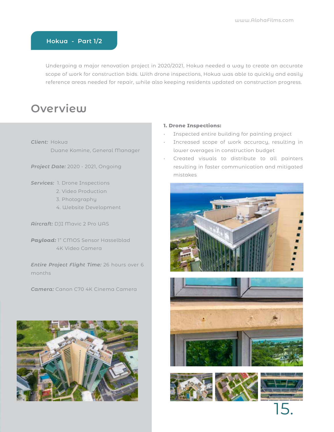### <span id="page-14-0"></span>**Hokua - Part 1/2**

Undergoing a major renovation project in 2020/2021, Hokua needed a way to create an accurate scope of work for construction bids. With drone inspections, Hokua was able to quickly and easily reference areas needed for repair, while also keeping residents updated on construction progress.

### **Overview**

*Client:* Hokua Duane Komine, General Manager

*Project Date:* 2020 - 2021, Ongoing

*Services:* 1. Drone Inspections

- 2. Video Production
- 3. Photography
- 4. Website Development

*Aircraft:* DJI Mavic 2 Pro UAS

*Payload:* 1" CMOS Sensor Hasselblad 4K Video Camera

*Entire Project Flight Time:* 26 hours over 6 months

*Camera:* Canon C70 4K Cinema Camera



#### **1. Drone Inspections:**

- Inspected entire building for painting project
- Increased scope of work accuracy, resulting in lower overages in construction budget
- Created visuals to distribute to all painters resulting in faster communication and mitigated mistakes









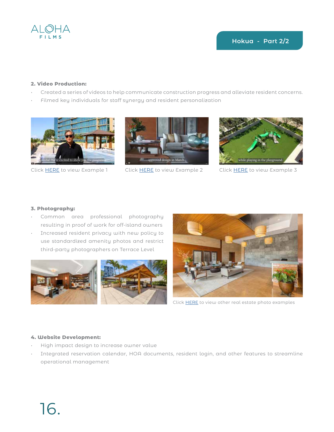

### **2. Video Production:**

- Created a series of videos to help communicate construction progress and alleviate resident concerns.
- Filmed key individuals for staff synergy and resident personalization





Click [HERE](https://vimeo.com/558912344) to view Example 1 Click [HERE](https://vimeo.com/506379008) to view Example 2 Click HERE to view Example 3



### **3. Photography:**

- Common area professional photography resulting in proof of work for off-island owners
- Increased resident privacy with new policy to use standardized amenity photos and restrict third-party photographers on Terrace Level





Click [HERE](https://www.alohafilms.com/real-estate) to view other real estate photo examples

### **4. Website Development:**

- High impact design to increase owner value
- Integrated reservation calendar, HOA documents, resident login, and other features to streamline operational management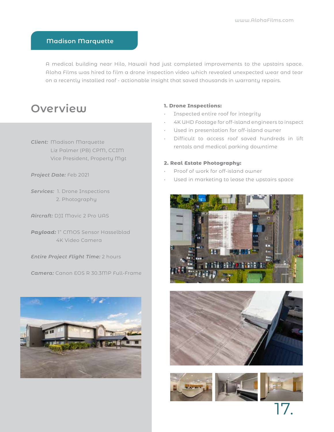#### <span id="page-16-0"></span>**Madison Marquette**

A medical building near Hilo, Hawaii had just completed improvements to the upstairs space. Aloha Films was hired to film a drone inspection video which revealed unexpected wear and tear on a recently installed roof - actionable insight that saved thousands in warranty repairs.

### **Overview**

*Client:* Madison Marquette Liz Palmer (PB) CPM, CCIM Vice President, Property Mgt

*Project Date:* Feb 2021

*Services:* 1. Drone Inspections 2. Photography

*Aircraft:* DJI Mavic 2 Pro UAS

*Payload:* 1" CMOS Sensor Hasselblad 4K Video Camera

*Entire Project Flight Time:* 2 hours

*Camera:* Canon EOS R 30.3MP Full-Frame



#### **1. Drone Inspections:**

- Inspected entire roof for integrity
- 4K UHD Footage for off-island engineers to inspect
- Used in presentation for off-island owner
- Difficult to access roof saved hundreds in lift rentals and medical parking downtime

#### **2. Real Estate Photography:**

- Proof of work for off-island owner
- Used in marketing to lease the upstairs space





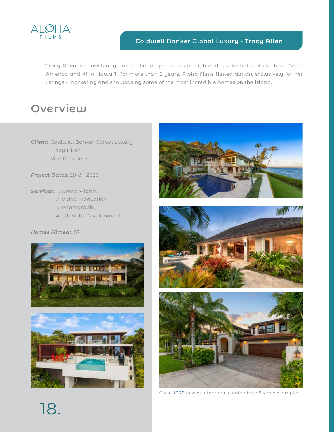<span id="page-17-0"></span>

### **Coldwell Banker Global Luxury - Tracy Allen**

Tracy Allen is consistently one of the top producers of high-end residential real estate in North America and #1 in Hawai'i. For more than 2 years, Aloha Films filmed almost exclusively for her listings - marketing and showcasing some of the most incredible homes on the island.

### **Overview**

*Client:* Coldwell Banker Global Luxury Tracy Allen Vice President

*Project Dates:* 2018 - 2020

*Services:* 1. Drone Flights

- 2. Video Production
- 3. Photography
- 4. Website Development

#### *Homes Filmed:* 57











Click [HERE](https://www.alohafilms.com/real-estate) to view other real estate photo & video examples

18.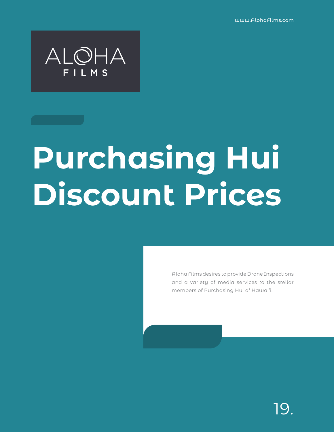www.AlohaFilms.com

<span id="page-18-0"></span>

# **Purchasing Hui Discount Prices**

Aloha Films desires to provide Drone Inspections and a variety of media services to the stellar members of Purchasing Hui of Hawai'i.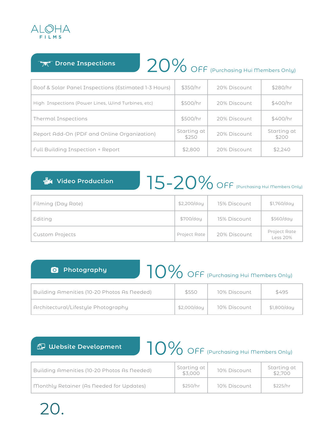

**Drone Inspections** 

### 20% OFF (Purchasing Hui Members Only)

| Roof & Solar Panel Inspections (Estimated 1-3 Hours) | \$350/hr             | 20% Discount | \$280/hr             |
|------------------------------------------------------|----------------------|--------------|----------------------|
| High Inspections (Power Lines, Wind Turbines, etc)   | \$500/hr             | 20% Discount | \$400/hr             |
| Thermal Inspections                                  | \$500/hr             | 20% Discount | \$400/hr             |
| Report Add-On (PDF and Online Organization)          | Starting at<br>\$250 | 20% Discount | Starting at<br>\$200 |
| <b>Full Building Inspection + Report</b>             | \$2,800              | 20% Discount | \$2,240              |

### *圖* **Video Production**

### $15-20\%$  OFF (Purchasing Hui Members Only)

| Filming (Day Rate)     | \$2,200/day  | 15% Discount | \$1,760/day              |
|------------------------|--------------|--------------|--------------------------|
| Editing                | \$700/day    | 15% Discount | \$560/day                |
| <b>Custom Projects</b> | Project Rate | 20% Discount | Project Rate<br>Less 20% |

### **Photography** 10% OFF (Purchasing Hui Members Only)

| Building Amenities (10-20 Photos As Needed) | \$550       | 10% Discount | \$495       |
|---------------------------------------------|-------------|--------------|-------------|
| Architectural/Lifestyle Photography         | \$2.000/dau | 10% Discount | \$1,800/day |

### **Website Development**

### 10% OFF (Purchasing Hui Members Only)

| Building Amenities (10-20 Photos As Needed) | Starting at<br>\$3,000 | 10% Discount | Starting at<br>\$2,700 |
|---------------------------------------------|------------------------|--------------|------------------------|
| Monthly Retainer (As Needed for Updates)    | \$250/hr               | 10% Discount | \$225/hr               |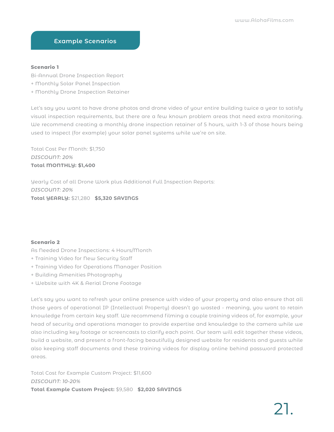### **Example Scenarios**

#### **Scenario 1**

Bi-Annual Drone Inspection Report

- + Monthly Solar Panel Inspection
- + Monthly Drone Inspection Retainer

Let's say you want to have drone photos and drone video of your entire building twice a year to satisfy visual inspection requirements, but there are a few known problem areas that need extra monitoring. We recommend creating a monthly drone inspection retainer of 5 hours, with 1-3 of those hours being used to inspect (for example) your solar panel systems while we're on site.

Total Cost Per Month: \$1,750 *DISCOUNT: 20%* **Total MONTHLY: \$1,400**

Yearly Cost of all Drone Work plus Additional Full Inspection Reports: *DISCOUNT: 20%* **Total YEARLY:** \$21,280 **\$5,320 SAVINGS**

#### **Scenario 2**

As Needed Drone Inspections: 4 Hours/Month

- + Training Video for New Security Staff
- + Training Video for Operations Manager Position
- + Building Amenities Photography
- + Website with 4K & Aerial Drone Footage

Let's say you want to refresh your online presence with video of your property and also ensure that all those years of operational IP (Intellectual Property) doesn't go wasted - meaning, you want to retain knowledge from certain key staff. We recommend filming a couple training videos of, for example, your head of security and operations manager to provide expertise and knowledge to the camera while we also including key footage or screencasts to clarify each point. Our team will edit together these videos, build a website, and present a front-facing beautifully designed website for residents and guests while also keeping staff documents and these training videos for display online behind password protected areas.

Total Cost for Example Custom Project: \$11,600 *DISCOUNT: 10-20%* **Total Example Custom Project:** \$9,580 **\$2,020 SAVINGS**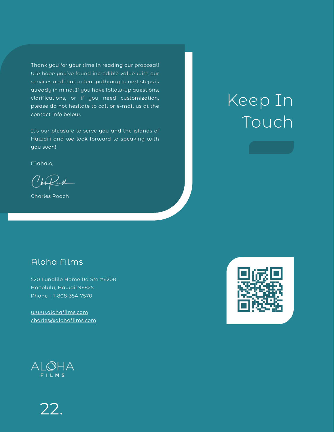Thank you for your time in reading our proposal! We hope you've found incredible value with our services and that a clear pathway to next steps is already in mind. If you have follow-up questions, clarifications, or if you need customization, please do not hesitate to call or e-mail us at the contact info below.

It's our pleasure to serve you and the islands of Hawai'i and we look forward to speaking with you soon!

Mahalo,

 $U_{\mu}\mathcal{L}$ 

Charles Roach

### Aloha Films

520 Lunalilo Home Rd Ste #6208 Honolulu, Hawaii 96825 Phone : 1-808-354-7570

[www.alohafilms.com](http://www.alohafilms.com%20) [charles@alohafilms.com](mailto:charles%40alohafilms.com?subject=)



Keep In

Touch